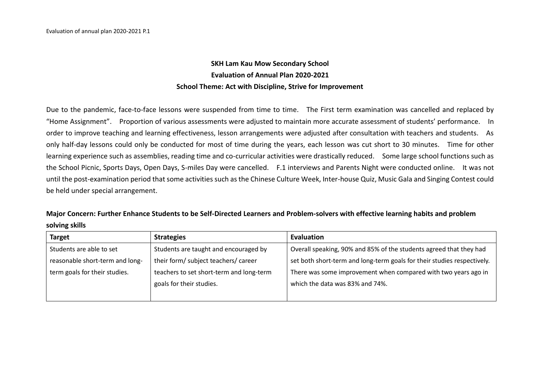## **SKH Lam Kau Mow Secondary School Evaluation of Annual Plan 2020-2021 School Theme: Act with Discipline, Strive for Improvement**

Due to the pandemic, face-to-face lessons were suspended from time to time. The First term examination was cancelled and replaced by "Home Assignment". Proportion of various assessments were adjusted to maintain more accurate assessment of students' performance. In order to improve teaching and learning effectiveness, lesson arrangements were adjusted after consultation with teachers and students. As only half-day lessons could only be conducted for most of time during the years, each lesson was cut short to 30 minutes. Time for other learning experience such as assemblies, reading time and co-curricular activities were drastically reduced. Some large school functions such as the School Picnic, Sports Days, Open Days, S-miles Day were cancelled. F.1 interviews and Parents Night were conducted online. It was not until the post-examination period that some activities such as the Chinese Culture Week, Inter-house Quiz, Music Gala and Singing Contest could be held under special arrangement.

**Major Concern: Further Enhance Students to be Self-Directed Learners and Problem-solvers with effective learning habits and problem solving skills**

| Target                          | <b>Strategies</b>                        | Evaluation                                                              |
|---------------------------------|------------------------------------------|-------------------------------------------------------------------------|
| Students are able to set        | Students are taught and encouraged by    | Overall speaking, 90% and 85% of the students agreed that they had      |
| reasonable short-term and long- | their form/ subject teachers/ career     | set both short-term and long-term goals for their studies respectively. |
| term goals for their studies.   | teachers to set short-term and long-term | There was some improvement when compared with two years ago in          |
|                                 | goals for their studies.                 | which the data was 83% and 74%.                                         |
|                                 |                                          |                                                                         |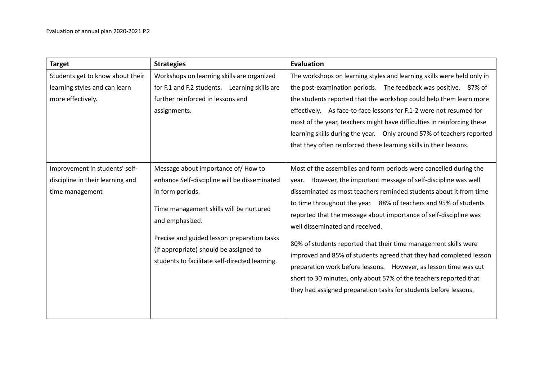| <b>Target</b>                    | <b>Strategies</b>                                          | <b>Evaluation</b>                                                       |
|----------------------------------|------------------------------------------------------------|-------------------------------------------------------------------------|
| Students get to know about their | Workshops on learning skills are organized                 | The workshops on learning styles and learning skills were held only in  |
| learning styles and can learn    | for F.1 and F.2 students. Learning skills are              | the post-examination periods. The feedback was positive. 87% of         |
| more effectively.                | further reinforced in lessons and                          | the students reported that the workshop could help them learn more      |
|                                  | assignments.                                               | effectively. As face-to-face lessons for F.1-2 were not resumed for     |
|                                  |                                                            | most of the year, teachers might have difficulties in reinforcing these |
|                                  |                                                            | learning skills during the year.  Only around 57% of teachers reported  |
|                                  |                                                            | that they often reinforced these learning skills in their lessons.      |
|                                  |                                                            |                                                                         |
| Improvement in students' self-   | Message about importance of/How to                         | Most of the assemblies and form periods were cancelled during the       |
| discipline in their learning and | enhance Self-discipline will be disseminated               | year. However, the important message of self-discipline was well        |
| time management                  | in form periods.                                           | disseminated as most teachers reminded students about it from time      |
|                                  |                                                            | to time throughout the year. 88% of teachers and 95% of students        |
|                                  | Time management skills will be nurtured<br>and emphasized. | reported that the message about importance of self-discipline was       |
|                                  |                                                            | well disseminated and received.                                         |
|                                  | Precise and guided lesson preparation tasks                | 80% of students reported that their time management skills were         |
|                                  | (if appropriate) should be assigned to                     | improved and 85% of students agreed that they had completed lesson      |
|                                  | students to facilitate self-directed learning.             | preparation work before lessons. However, as lesson time was cut        |
|                                  |                                                            | short to 30 minutes, only about 57% of the teachers reported that       |
|                                  |                                                            | they had assigned preparation tasks for students before lessons.        |
|                                  |                                                            |                                                                         |
|                                  |                                                            |                                                                         |
|                                  |                                                            |                                                                         |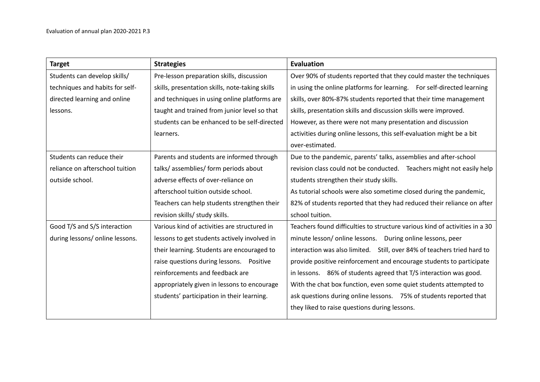| <b>Target</b>                   | <b>Strategies</b>                               | Evaluation                                                                  |
|---------------------------------|-------------------------------------------------|-----------------------------------------------------------------------------|
| Students can develop skills/    | Pre-lesson preparation skills, discussion       | Over 90% of students reported that they could master the techniques         |
| techniques and habits for self- | skills, presentation skills, note-taking skills | in using the online platforms for learning. For self-directed learning      |
| directed learning and online    | and techniques in using online platforms are    | skills, over 80%-87% students reported that their time management           |
| lessons.                        | taught and trained from junior level so that    | skills, presentation skills and discussion skills were improved.            |
|                                 | students can be enhanced to be self-directed    | However, as there were not many presentation and discussion                 |
|                                 | learners.                                       | activities during online lessons, this self-evaluation might be a bit       |
|                                 |                                                 | over-estimated.                                                             |
| Students can reduce their       | Parents and students are informed through       | Due to the pandemic, parents' talks, assemblies and after-school            |
| reliance on afterschool tuition | talks/assemblies/form periods about             | revision class could not be conducted. Teachers might not easily help       |
| outside school.                 | adverse effects of over-reliance on             | students strengthen their study skills.                                     |
|                                 | afterschool tuition outside school.             | As tutorial schools were also sometime closed during the pandemic,          |
|                                 | Teachers can help students strengthen their     | 82% of students reported that they had reduced their reliance on after      |
|                                 | revision skills/ study skills.                  | school tuition.                                                             |
| Good T/S and S/S interaction    | Various kind of activities are structured in    | Teachers found difficulties to structure various kind of activities in a 30 |
| during lessons/ online lessons. | lessons to get students actively involved in    | minute lesson/ online lessons.  During online lessons, peer                 |
|                                 | their learning. Students are encouraged to      | interaction was also limited. Still, over 84% of teachers tried hard to     |
|                                 | raise questions during lessons. Positive        | provide positive reinforcement and encourage students to participate        |
|                                 | reinforcements and feedback are                 | in lessons. 86% of students agreed that T/S interaction was good.           |
|                                 | appropriately given in lessons to encourage     | With the chat box function, even some quiet students attempted to           |
|                                 | students' participation in their learning.      | ask questions during online lessons. 75% of students reported that          |
|                                 |                                                 | they liked to raise questions during lessons.                               |
|                                 |                                                 |                                                                             |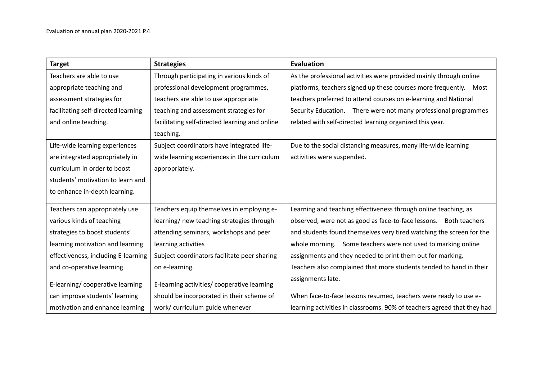| <b>Target</b>                       | <b>Strategies</b>                              | Evaluation                                                              |
|-------------------------------------|------------------------------------------------|-------------------------------------------------------------------------|
| Teachers are able to use            | Through participating in various kinds of      | As the professional activities were provided mainly through online      |
| appropriate teaching and            | professional development programmes,           | platforms, teachers signed up these courses more frequently.  Most      |
| assessment strategies for           | teachers are able to use appropriate           | teachers preferred to attend courses on e-learning and National         |
| facilitating self-directed learning | teaching and assessment strategies for         | Security Education. There were not many professional programmes         |
| and online teaching.                | facilitating self-directed learning and online | related with self-directed learning organized this year.                |
|                                     | teaching.                                      |                                                                         |
| Life-wide learning experiences      | Subject coordinators have integrated life-     | Due to the social distancing measures, many life-wide learning          |
| are integrated appropriately in     | wide learning experiences in the curriculum    | activities were suspended.                                              |
| curriculum in order to boost        | appropriately.                                 |                                                                         |
| students' motivation to learn and   |                                                |                                                                         |
| to enhance in-depth learning.       |                                                |                                                                         |
| Teachers can appropriately use      | Teachers equip themselves in employing e-      | Learning and teaching effectiveness through online teaching, as         |
| various kinds of teaching           | learning/ new teaching strategies through      | observed, were not as good as face-to-face lessons. Both teachers       |
| strategies to boost students'       | attending seminars, workshops and peer         | and students found themselves very tired watching the screen for the    |
| learning motivation and learning    | learning activities                            | whole morning. Some teachers were not used to marking online            |
| effectiveness, including E-learning | Subject coordinators facilitate peer sharing   | assignments and they needed to print them out for marking.              |
| and co-operative learning.          | on e-learning.                                 | Teachers also complained that more students tended to hand in their     |
| E-learning/cooperative learning     | E-learning activities/ cooperative learning    | assignments late.                                                       |
| can improve students' learning      | should be incorporated in their scheme of      | When face-to-face lessons resumed, teachers were ready to use e-        |
| motivation and enhance learning     | work/ curriculum guide whenever                | learning activities in classrooms. 90% of teachers agreed that they had |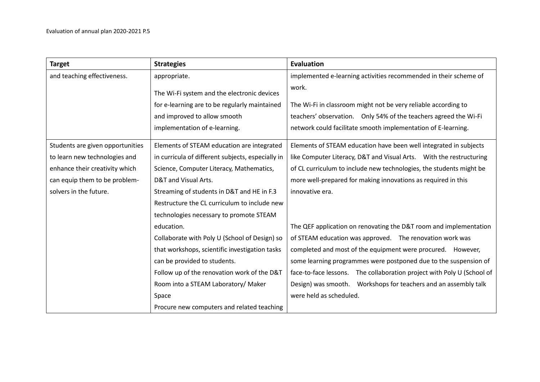| <b>Target</b>                    | <b>Strategies</b>                                 | Evaluation                                                             |
|----------------------------------|---------------------------------------------------|------------------------------------------------------------------------|
| and teaching effectiveness.      | appropriate.                                      | implemented e-learning activities recommended in their scheme of       |
|                                  | The Wi-Fi system and the electronic devices       | work.                                                                  |
|                                  | for e-learning are to be regularly maintained     | The Wi-Fi in classroom might not be very reliable according to         |
|                                  | and improved to allow smooth                      | teachers' observation.  Only 54% of the teachers agreed the Wi-Fi      |
|                                  | implementation of e-learning.                     | network could facilitate smooth implementation of E-learning.          |
| Students are given opportunities | Elements of STEAM education are integrated        | Elements of STEAM education have been well integrated in subjects      |
| to learn new technologies and    | in curricula of different subjects, especially in | like Computer Literacy, D&T and Visual Arts.  With the restructuring   |
| enhance their creativity which   | Science, Computer Literacy, Mathematics,          | of CL curriculum to include new technologies, the students might be    |
| can equip them to be problem-    | D&T and Visual Arts.                              | more well-prepared for making innovations as required in this          |
| solvers in the future.           | Streaming of students in D&T and HE in F.3        | innovative era.                                                        |
|                                  | Restructure the CL curriculum to include new      |                                                                        |
|                                  | technologies necessary to promote STEAM           |                                                                        |
|                                  | education.                                        | The QEF application on renovating the D&T room and implementation      |
|                                  | Collaborate with Poly U (School of Design) so     | of STEAM education was approved. The renovation work was               |
|                                  | that workshops, scientific investigation tasks    | completed and most of the equipment were procured. However,            |
|                                  | can be provided to students.                      | some learning programmes were postponed due to the suspension of       |
|                                  | Follow up of the renovation work of the D&T       | face-to-face lessons. The collaboration project with Poly U (School of |
|                                  | Room into a STEAM Laboratory/ Maker               | Design) was smooth.  Workshops for teachers and an assembly talk       |
|                                  | Space                                             | were held as scheduled.                                                |
|                                  | Procure new computers and related teaching        |                                                                        |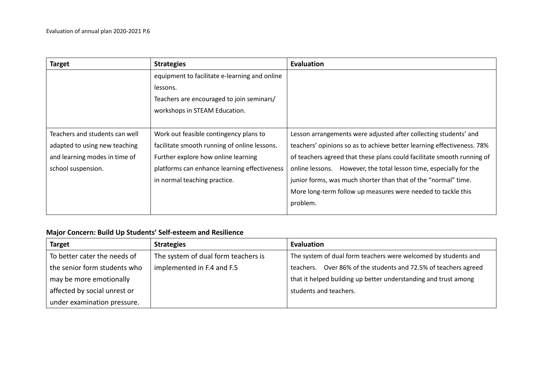| <b>Target</b>                  | <b>Strategies</b>                             | <b>Evaluation</b>                                                      |
|--------------------------------|-----------------------------------------------|------------------------------------------------------------------------|
|                                | equipment to facilitate e-learning and online |                                                                        |
|                                | lessons.                                      |                                                                        |
|                                | Teachers are encouraged to join seminars/     |                                                                        |
|                                | workshops in STEAM Education.                 |                                                                        |
|                                |                                               |                                                                        |
| Teachers and students can well | Work out feasible contingency plans to        | Lesson arrangements were adjusted after collecting students' and       |
| adapted to using new teaching  | facilitate smooth running of online lessons.  | teachers' opinions so as to achieve better learning effectiveness. 78% |
| and learning modes in time of  | Further explore how online learning           | of teachers agreed that these plans could facilitate smooth running of |
| school suspension.             | platforms can enhance learning effectiveness  | However, the total lesson time, especially for the<br>online lessons.  |
|                                | in normal teaching practice.                  | junior forms, was much shorter than that of the "normal" time.         |
|                                |                                               | More long-term follow up measures were needed to tackle this           |
|                                |                                               | problem.                                                               |
|                                |                                               |                                                                        |

## **Major Concern: Build Up Students' Self-esteem and Resilience**

| <b>Target</b>                | <b>Strategies</b>                   | Evaluation                                                      |
|------------------------------|-------------------------------------|-----------------------------------------------------------------|
| To better cater the needs of | The system of dual form teachers is | The system of dual form teachers were welcomed by students and  |
| the senior form students who | implemented in F.4 and F.5          | teachers. Over 86% of the students and 72.5% of teachers agreed |
| may be more emotionally      |                                     | that it helped building up better understanding and trust among |
| affected by social unrest or |                                     | students and teachers.                                          |
| under examination pressure.  |                                     |                                                                 |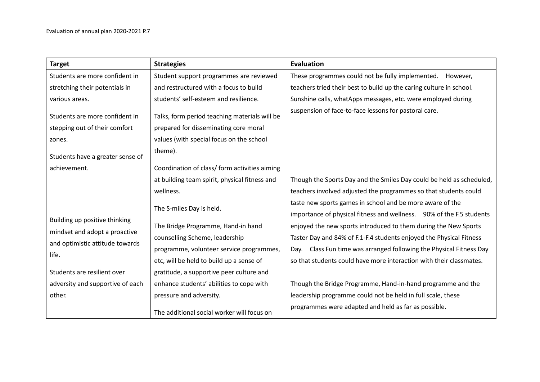| <b>Target</b>                                                   | <b>Strategies</b>                                                                      | <b>Evaluation</b>                                                                                                                 |
|-----------------------------------------------------------------|----------------------------------------------------------------------------------------|-----------------------------------------------------------------------------------------------------------------------------------|
| Students are more confident in                                  | Student support programmes are reviewed                                                | These programmes could not be fully implemented.<br>However,                                                                      |
| stretching their potentials in                                  | and restructured with a focus to build                                                 | teachers tried their best to build up the caring culture in school.                                                               |
| various areas.                                                  | students' self-esteem and resilience.                                                  | Sunshine calls, whatApps messages, etc. were employed during                                                                      |
| Students are more confident in<br>stepping out of their comfort | Talks, form period teaching materials will be<br>prepared for disseminating core moral | suspension of face-to-face lessons for pastoral care.                                                                             |
| zones.                                                          | values (with special focus on the school                                               |                                                                                                                                   |
| Students have a greater sense of                                | theme).                                                                                |                                                                                                                                   |
| achievement.                                                    | Coordination of class/ form activities aiming                                          |                                                                                                                                   |
|                                                                 | at building team spirit, physical fitness and                                          | Though the Sports Day and the Smiles Day could be held as scheduled,                                                              |
|                                                                 | wellness.                                                                              | teachers involved adjusted the programmes so that students could                                                                  |
|                                                                 | The S-miles Day is held.                                                               | taste new sports games in school and be more aware of the<br>importance of physical fitness and wellness. 90% of the F.5 students |
| Building up positive thinking                                   | The Bridge Programme, Hand-in hand                                                     | enjoyed the new sports introduced to them during the New Sports                                                                   |
| mindset and adopt a proactive                                   | counselling Scheme, leadership                                                         | Taster Day and 84% of F.1-F.4 students enjoyed the Physical Fitness                                                               |
| and optimistic attitude towards<br>life.                        | programme, volunteer service programmes,                                               | Class Fun time was arranged following the Physical Fitness Day<br>Dav.                                                            |
|                                                                 | etc, will be held to build up a sense of                                               | so that students could have more interaction with their classmates.                                                               |
| Students are resilient over                                     | gratitude, a supportive peer culture and                                               |                                                                                                                                   |
| adversity and supportive of each                                | enhance students' abilities to cope with                                               | Though the Bridge Programme, Hand-in-hand programme and the                                                                       |
| other.                                                          | pressure and adversity.                                                                | leadership programme could not be held in full scale, these                                                                       |
|                                                                 | The additional social worker will focus on                                             | programmes were adapted and held as far as possible.                                                                              |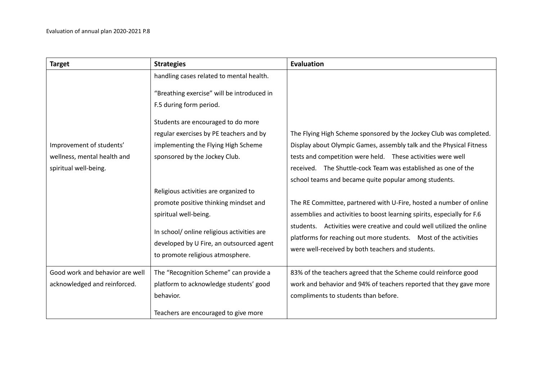| <b>Target</b>                   | <b>Strategies</b>                          | <b>Evaluation</b>                                                       |
|---------------------------------|--------------------------------------------|-------------------------------------------------------------------------|
|                                 | handling cases related to mental health.   |                                                                         |
|                                 | "Breathing exercise" will be introduced in |                                                                         |
|                                 | F.5 during form period.                    |                                                                         |
|                                 | Students are encouraged to do more         |                                                                         |
|                                 | regular exercises by PE teachers and by    | The Flying High Scheme sponsored by the Jockey Club was completed.      |
| Improvement of students'        | implementing the Flying High Scheme        | Display about Olympic Games, assembly talk and the Physical Fitness     |
| wellness, mental health and     | sponsored by the Jockey Club.              | tests and competition were held.  These activities were well            |
| spiritual well-being.           |                                            | received. The Shuttle-cock Team was established as one of the           |
|                                 |                                            | school teams and became quite popular among students.                   |
|                                 | Religious activities are organized to      |                                                                         |
|                                 | promote positive thinking mindset and      | The RE Committee, partnered with U-Fire, hosted a number of online      |
|                                 | spiritual well-being.                      | assemblies and activities to boost learning spirits, especially for F.6 |
|                                 | In school/ online religious activities are | students. Activities were creative and could well utilized the online   |
|                                 | developed by U Fire, an outsourced agent   | platforms for reaching out more students.  Most of the activities       |
|                                 | to promote religious atmosphere.           | were well-received by both teachers and students.                       |
|                                 |                                            |                                                                         |
| Good work and behavior are well | The "Recognition Scheme" can provide a     | 83% of the teachers agreed that the Scheme could reinforce good         |
| acknowledged and reinforced.    | platform to acknowledge students' good     | work and behavior and 94% of teachers reported that they gave more      |
|                                 | behavior.                                  | compliments to students than before.                                    |
|                                 | Teachers are encouraged to give more       |                                                                         |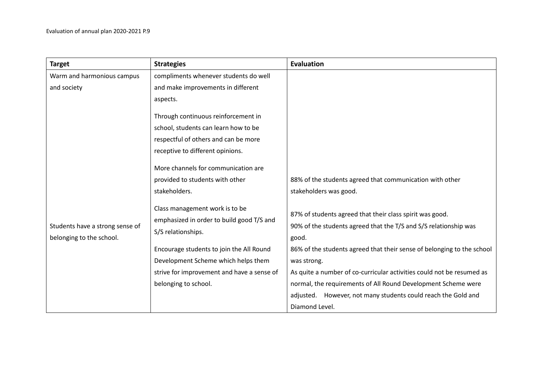| <b>Target</b>                                               | <b>Strategies</b>                                                                                 | Evaluation                                                                                                                            |
|-------------------------------------------------------------|---------------------------------------------------------------------------------------------------|---------------------------------------------------------------------------------------------------------------------------------------|
| Warm and harmonious campus                                  | compliments whenever students do well                                                             |                                                                                                                                       |
| and society                                                 | and make improvements in different                                                                |                                                                                                                                       |
|                                                             | aspects.                                                                                          |                                                                                                                                       |
|                                                             | Through continuous reinforcement in                                                               |                                                                                                                                       |
|                                                             | school, students can learn how to be                                                              |                                                                                                                                       |
|                                                             | respectful of others and can be more                                                              |                                                                                                                                       |
|                                                             | receptive to different opinions.                                                                  |                                                                                                                                       |
|                                                             | More channels for communication are                                                               |                                                                                                                                       |
|                                                             | provided to students with other                                                                   | 88% of the students agreed that communication with other                                                                              |
|                                                             | stakeholders.                                                                                     | stakeholders was good.                                                                                                                |
| Students have a strong sense of<br>belonging to the school. | Class management work is to be<br>emphasized in order to build good T/S and<br>S/S relationships. | 87% of students agreed that their class spirit was good.<br>90% of the students agreed that the T/S and S/S relationship was<br>good. |
|                                                             | Encourage students to join the All Round                                                          | 86% of the students agreed that their sense of belonging to the school                                                                |
|                                                             | Development Scheme which helps them                                                               | was strong.                                                                                                                           |
|                                                             | strive for improvement and have a sense of                                                        | As quite a number of co-curricular activities could not be resumed as                                                                 |
|                                                             | belonging to school.                                                                              | normal, the requirements of All Round Development Scheme were                                                                         |
|                                                             |                                                                                                   | adjusted. However, not many students could reach the Gold and                                                                         |
|                                                             |                                                                                                   | Diamond Level.                                                                                                                        |